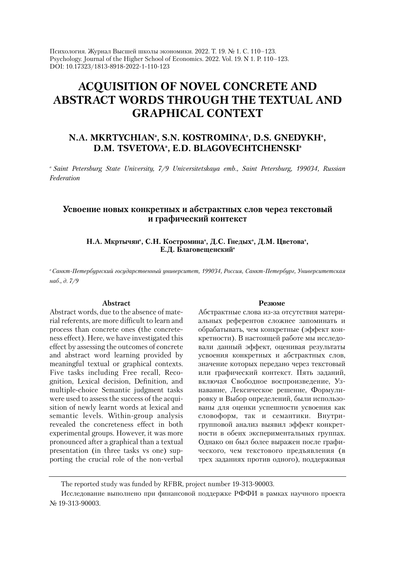Психология. Журнал Высшей школы экономики. 2022. Т. 19. № 1. С. 110–123. Psychology. Journal of the Higher School of Economics. 2022. Vol. 19. N 1. P. 110–123. DOI: 10.17323/1813-8918-2022-1-110-123

# **ACQUISITION OF NOVEL CONCRETE AND ABSTRACT WORDS THROUGH THE TEXTUAL AND GRAPHICAL CONTEXT**

# N.A. MKRTYCHIANª, S.N. KOSTROMINAª, D.S. GNEDYKHª, **D.M. TSVETOVAª, E.D. BLAGOVECHTCHENSKIª**

*a Saint Petersburg State University, 7/9 Universitetskaya emb., Saint Petersburg, 199034, Russian Federation*

# **Усвоение новых конкретных и абстрактных слов через текстовый и графический контекст**

Н.А. Мкртычянª, С.Н. Костроминаª, Д.С. Гнедыхª, Д.М. Цветоваª, **Е.Д. Благовещенскийa**

*aСанкт-Петербургский государственный университет, 199034, Россия, Санкт-Петербург, Университетская наб., д. 7/9*

#### **Abstract**

Abstract words, due to the absence of material referents, are more difficult to learn and process than concrete ones (the concreteness effect). Here, we have investigated this effect by assessing the outcomes of concrete and abstract word learning provided by meaningful textual or graphical contexts. Five tasks including Free recall, Recognition, Lexical decision, Definition, and multiple-choice Semantic judgment tasks were used to assess the success of the acquisition of newly learnt words at lexical and semantic levels. Within-group analysis revealed the concreteness effect in both experimental groups. However, it was more pronounced after a graphical than a textual presentation (in three tasks vs one) supporting the crucial role of the non-verbal

#### **Резюме**

Абстрактные слова из-за отсутствия материальных референтов сложнее запоминать и обрабатывать, чем конкретные (эффект конкретности). В настоящей работе мы исследовали данный эффект, оценивая результаты усвоения конкретных и абстрактных слов, значение которых передано через текстовый или графический контекст. Пять заданий, включая Свободное воспроизведение, Узнавание, Лексическое решение, Формулировку и Выбор определений, были использованы для оценки успешности усвоения как словоформ, так и семантики. Внутригрупповой анализ выявил эффект конкретности в обеих экспериментальных группах. Однако он был более выражен после графического, чем текстового предъявления (в трех заданиях против одного), поддерживая

The reported study was funded by RFBR, project number 19-313-90003.

Исследование выполнено при финансовой поддержке РФФИ в рамках научного проекта № 19-313-90003.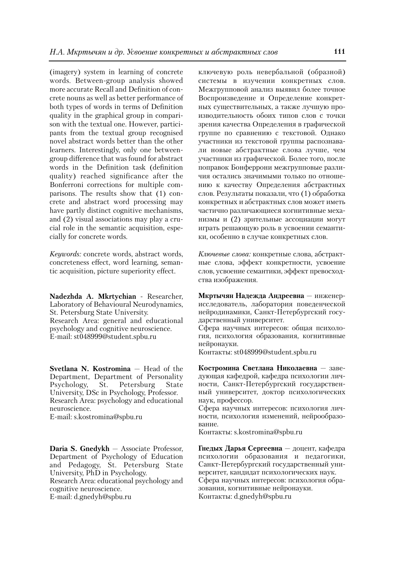(imagery) system in learning of concrete words. Between-group analysis showed more accurate Recall and Definition of concrete nouns as well as better performance of both types of words in terms of Definition quality in the graphical group in comparison with the textual one. However, participants from the textual group recognised novel abstract words better than the other learners. Interestingly, only one betweengroup difference that was found for abstract words in the Definition task (definition quality) reached significance after the Bonferroni corrections for multiple comparisons. The results show that (1) concrete and abstract word processing may have partly distinct cognitive mechanisms, and (2) visual associations may play a crucial role in the semantic acquisition, especially for concrete words.

*Keywords:* concrete words, abstract words, concreteness effect, word learning, semantic acquisition, picture superiority effect.

**Nadezhda A. Mkrtychian** - Researcher, Laboratory of Behavioural Neurodynamics, St. Petersburg State University. Research Area: general and educational psychology and cognitive neuroscience. E-mail: st048999@student.spbu.ru

**Svetlana N. Kostromina** — Head of the Department, Department of Personality<br>Psychology, St. Petersburg State Psychology, St. Petersburg State University, DSc in Psychology, Professor. Research Area: psychology and educational neuroscience. E-mail: s.kostromina@spbu.ru

**Daria S. Gnedykh** — Associate Professor, Department of Psychology of Education and Pedagogy, St. Petersburg State University, PhD in Psychology. Research Area: educational psychology and cognitive neuroscience. E-mail: d.gnedyh@spbu.ru

ключевую роль невербальной (образной) системы в изучении конкретных слов. Межгрупповой анализ выявил более точное Воспроизведение и Определение конкретных существительных, а также лучшую производительность обоих типов слов с точки зрения качества Определения в графической группе по сравнению с текстовой. Однако участники из текстовой группы распознавали новые абстрактные слова лучше, чем участники из графической. Более того, после поправок Бонферрони межгрупповые различия остались значимыми только по отношению к качеству Определения абстрактных слов. Результаты показали, что (1) обработка конкретных и абстрактных слов может иметь частично различающиеся когнитивные механизмы и (2) зрительные ассоциации могут играть решающую роль в усвоении семантики, особенно в случае конкретных слов.

*Ключевые слова:* конкретные слова, абстрактные слова, эффект конкретности, усвоение слов, усвоение семантики, эффект превосходства изображения.

**Мкртычян Надежда Андреевна** — инженерисследователь, лаборатория поведенческой нейродинамики, Санкт-Петербургский государственный университет.

Сфера научных интересов: общая психология, психология образования, когнитивные нейронауки.

Контакты: st048999@student.spbu.ru

**Костромина Светлана Николаевна** — заведующая кафедрой, кафедра психологии личности, Санкт-Петербургский государственный университет, доктор психологических наук, профессор.

Сфера научных интересов: психология личности, психология изменений, нейрообразование.

Контакты: s.kostromina@spbu.ru

**Гнедых Дарья Сергеевна** — доцент, кафедра психологии образования и педагогики, Санкт-Петербургский государственный университет, кандидат психологических наук. Сфера научных интересов: психология образования, когнитивные нейронауки. Контакты: d.gnedyh@spbu.ru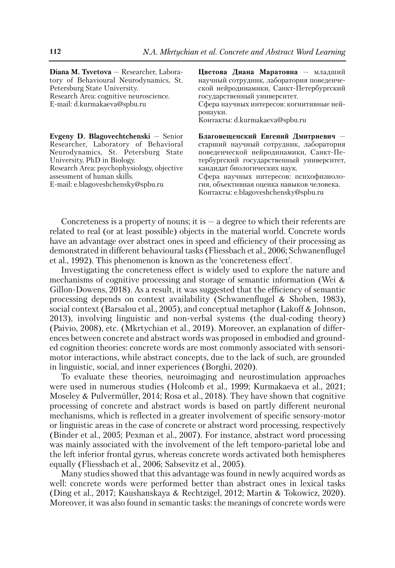**Diana M. Tsvetova** - Researcher, Laboratory of Behavioural Neurodynamics, St. Petersburg State University. Research Area: cognitive neuroscience. E-mail: d.kurmakaeva@spbu.ru

**Evgeny D. Blagovechtchenski** — Senior Researcher, Laboratory of Behavioral Neurodynamics, St. Petersburg State University, PhD in Biology. Research Area: psychophysiology, objective assessment of human skills. E-mail: e.blagoveshchensky@spbu.ru

**Цветова Диана Маратовна** — младший научный сотрудник, лаборатория поведенческой нейродинамики, Санкт-Петербургский государственный университет. Сфера научных интересов: когнитивные нейронауки. Контакты: d.kurmakaeva@spbu.ru

**Благовещенский Евгений Дмитриевич**  старший научный сотрудник, лаборатория поведенческой нейродинамики, Санкт-Пе тербургский государственный университет, кандидат биологических наук. Сфера научных интересов: психофизиология, объективная оценка навыков человека.

Контакты: e.blagoveshchensky@spbu.ru

Concreteness is a property of nouns; it is  $-$  a degree to which their referents are related to real (or at least possible) objects in the material world. Concrete words have an advantage over abstract ones in speed and efficiency of their processing as demonstrated in different behavioural tasks (Fliessbach et al., 2006; Schwanenflugel et al., 1992). This phenomenon is known as the 'concreteness effect'.

Investigating the concreteness effect is widely used to explore the nature and mechanisms of cognitive processing and storage of semantic information (Wei & Gillon-Dowens, 2018). As a result, it was suggested that the efficiency of semantic processing depends on context availability (Schwanenflugel & Shoben, 1983), social context (Barsalou et al., 2005), and conceptual metaphor (Lakoff & Johnson, 2013), involving linguistic and non-verbal systems (the dual-coding theory) (Paivio, 2008), etc. (Mkrtychian et al., 2019). Moreover, an explanation of differences between concrete and abstract words was proposed in embodied and grounded cognition theories: concrete words are most commonly associated with sensorimotor interactions, while abstract concepts, due to the lack of such, are grounded in linguistic, social, and inner experiences (Borghi, 2020).

To evaluate these theories, neuroimaging and neurostimulation approaches were used in numerous studies (Holcomb et al., 1999; Kurmakaeva et al., 2021; Moseley & Pulvermüller, 2014; Rosa et al., 2018). They have shown that cognitive processing of concrete and abstract words is based on partly different neuronal mechanisms, which is reflected in a greater involvement of specific sensory-motor or linguistic areas in the case of concrete or abstract word processing, respectively (Binder et al., 2005; Pexman et al., 2007). For instance, abstract word processing was mainly associated with the involvement of the left temporo-parietal lobe and the left inferior frontal gyrus, whereas concrete words activated both hemispheres equally (Fliessbach et al., 2006; Sabsevitz et al., 2005).

Many studies showed that this advantage was found in newly acquired words as well: concrete words were performed better than abstract ones in lexical tasks (Ding et al., 2017; Kaushanskaya & Rechtzigel, 2012; Martin & Tokowicz, 2020). Moreover, it was also found in semantic tasks: the meanings of concrete words were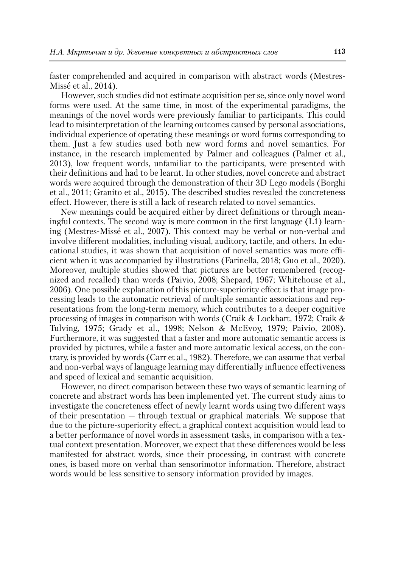faster comprehended and acquired in comparison with abstract words (Mestres-Missé et al., 2014).

However, such studies did not estimate acquisition per se, since only novel word forms were used. At the same time, in most of the experimental paradigms, the meanings of the novel words were previously familiar to participants. This could lead to misinterpretation of the learning outcomes caused by personal associations, individual experience of operating these meanings or word forms corresponding to them. Just a few studies used both new word forms and novel semantics. For instance, in the research implemented by Palmer and colleagues (Palmer et al., 2013), low frequent words, unfamiliar to the participants, were presented with their definitions and had to be learnt. In other studies, novel concrete and abstract words were acquired through the demonstration of their 3D Lego models (Borghi et al., 2011; Granito et al., 2015). The described studies revealed the concreteness effect. However, there is still a lack of research related to novel semantics.

New meanings could be acquired either by direct definitions or through meaningful contexts. The second way is more common in the first language (L1) learning (Mestres-Missé et al., 2007). This context may be verbal or non-verbal and involve different modalities, including visual, auditory, tactile, and others. In educational studies, it was shown that acquisition of novel semantics was more efficient when it was accompanied by illustrations (Farinella, 2018; Guo et al., 2020). Moreover, multiple studies showed that pictures are better remembered (recognized and recalled) than words (Paivio, 2008; Shepard, 1967; Whitehouse et al., 2006). One possible explanation of this picture-superiority effect is that image processing leads to the automatic retrieval of multiple semantic associations and representations from the long-term memory, which contributes to a deeper cognitive processing of images in comparison with words (Craik & Lockhart, 1972; Craik & Tulving, 1975; Grady et al., 1998; Nelson & McEvoy, 1979; Paivio, 2008). Furthermore, it was suggested that a faster and more automatic semantic access is provided by pictures, while a faster and more automatic lexical access, on the contrary, is provided by words (Carr et al., 1982). Therefore, we can assume that verbal and non-verbal ways of language learning may differentially influence effectiveness and speed of lexical and semantic acquisition.

However, no direct comparison between these two ways of semantic learning of concrete and abstract words has been implemented yet. The current study aims to investigate the concreteness effect of newly learnt words using two different ways of their presentation — through textual or graphical materials. We suppose that due to the picture-superiority effect, a graphical context acquisition would lead to a better performance of novel words in assessment tasks, in comparison with a textual context presentation. Moreover, we expect that these differences would be less manifested for abstract words, since their processing, in contrast with concrete ones, is based more on verbal than sensorimotor information. Therefore, abstract words would be less sensitive to sensory information provided by images.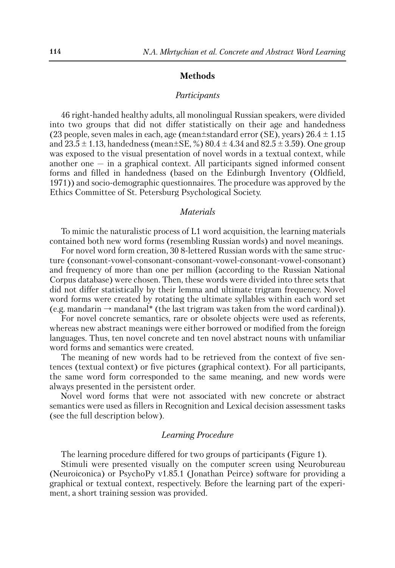## **Methods**

## *Participants*

46 right-handed healthy adults, all monolingual Russian speakers, were divided into two groups that did not differ statistically on their age and handedness (23 people, seven males in each, age (mean $\pm$ standard error (SE), years) 26.4  $\pm$  1.15 and  $23.5 \pm 1.13$ , handedness (mean $\pm$ SE, %)  $80.4 \pm 4.34$  and  $82.5 \pm 3.59$ ). One group was exposed to the visual presentation of novel words in a textual context, while another one — in a graphical context. All participants signed informed consent forms and filled in handedness (based on the Edinburgh Inventory (Oldfield, 1971)) and socio-demographic questionnaires. The procedure was approved by the Ethics Committee of St. Petersburg Psychological Society.

#### *Materials*

To mimic the naturalistic process of L1 word acquisition, the learning materials contained both new word forms (resembling Russian words) and novel meanings.

For novel word form creation, 30 8-lettered Russian words with the same structure (consonant-vowel-consonant-consonant-vowel-consonant-vowel-consonant) and frequency of more than one per million (according to the Russian National Corpus database) were chosen. Then, these words were divided into three sets that did not differ statistically by their lemma and ultimate trigram frequency. Novel word forms were created by rotating the ultimate syllables within each word set (e.g. mandarin  $\rightarrow$  mandanal\* (the last trigram was taken from the word cardinal)).

For novel concrete semantics, rare or obsolete objects were used as referents, whereas new abstract meanings were either borrowed or modified from the foreign languages. Thus, ten novel concrete and ten novel abstract nouns with unfamiliar word forms and semantics were created.

The meaning of new words had to be retrieved from the context of five sentences (textual context) or five pictures (graphical context). For all participants, the same word form corresponded to the same meaning, and new words were always presented in the persistent order.

Novel word forms that were not associated with new concrete or abstract semantics were used as fillers in Recognition and Lexical decision assessment tasks (see the full description below).

#### *Learning Procedure*

The learning procedure differed for two groups of participants (Figure 1).

Stimuli were presented visually on the computer screen using Neurobureau (Neuroiconica) or PsychoPy v1.85.1 (Jonathan Peirce) software for providing a graphical or textual context, respectively. Before the learning part of the experiment, a short training session was provided.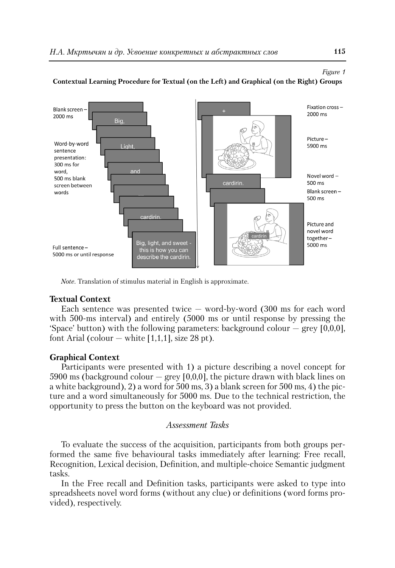

#### **Contextual Learning Procedure for Textual (on the Left) and Graphical (on the Right) Groups**

*Note.* Translation of stimulus material in English is approximate.

# **Textual Context**

Each sentence was presented twice — word-by-word (300 ms for each word with 500-ms interval) and entirely (5000 ms or until response by pressing the 'Space' button) with the following parameters: background colour  $-$  grey [0,0,0], font Arial (colour  $-$  white [1,1,1], size 28 pt).

# **Graphical Context**

Participants were presented with 1) a picture describing a novel concept for 5900 ms (background colour  $-$  grey [0,0,0], the picture drawn with black lines on a white background), 2) a word for 500 ms, 3) a blank screen for 500 ms, 4) the picture and a word simultaneously for 5000 ms. Due to the technical restriction, the opportunity to press the button on the keyboard was not provided.

# *Assessment Tasks*

To evaluate the success of the acquisition, participants from both groups performed the same five behavioural tasks immediately after learning: Free recall, Recognition, Lexical decision, Definition, and multiple-choice Semantic judgment tasks.

In the Free recall and Definition tasks, participants were asked to type into spreadsheets novel word forms (without any clue) or definitions (word forms provided), respectively.

*Figure 1*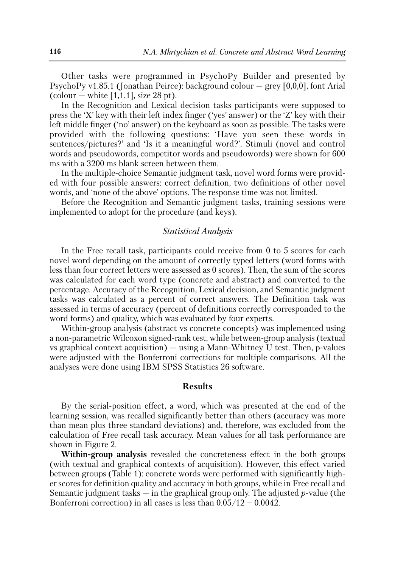Other tasks were programmed in PsychoPy Builder and presented by PsychoPy v1.85.1 (Jonathan Peirce): background colour — grey [0,0,0], font Arial (colour  $-$  white [1,1,1], size 28 pt).

In the Recognition and Lexical decision tasks participants were supposed to press the 'X' key with their left index finger ('yes' answer) or the 'Z' key with their left middle finger ('no' answer) on the keyboard as soon as possible. The tasks were provided with the following questions: 'Have you seen these words in sentences/pictures?' and 'Is it a meaningful word?'. Stimuli (novel and control words and pseudowords, competitor words and pseudowords) were shown for 600 ms with a 3200 ms blank screen between them.

In the multiple-choice Semantic judgment task, novel word forms were provided with four possible answers: correct definition, two definitions of other novel words, and 'none of the above' options. The response time was not limited.

Before the Recognition and Semantic judgment tasks, training sessions were implemented to adopt for the procedure (and keys).

### *Statistical Analysis*

In the Free recall task, participants could receive from 0 to 5 scores for each novel word depending on the amount of correctly typed letters (word forms with less than four correct letters were assessed as 0 scores). Then, the sum of the scores was calculated for each word type (concrete and abstract) and converted to the percentage. Accuracy of the Recognition, Lexical decision, and Semantic judgment tasks was calculated as a percent of correct answers. The Definition task was assessed in terms of accuracy (percent of definitions correctly corresponded to the word forms) and quality, which was evaluated by four experts.

Within-group analysis (abstract vs concrete concepts) was implemented using a non-parametric Wilcoxon signed-rank test, while between-group analysis (textual vs graphical context acquisition) — using a Mann-Whitney U test. Then, p-values were adjusted with the Bonferroni corrections for multiple comparisons. All the analyses were done using IBM SPSS Statistics 26 software.

#### **Results**

By the serial-position effect, a word, which was presented at the end of the learning session, was recalled significantly better than others (accuracy was more than mean plus three standard deviations) and, therefore, was excluded from the calculation of Free recall task accuracy. Mean values for all task performance are shown in Figure 2.

**Within-group analysis** revealed the concreteness effect in the both groups (with textual and graphical contexts of acquisition). However, this effect varied between groups (Table 1): concrete words were performed with significantly higher scores for definition quality and accuracy in both groups, while in Free recall and Semantic judgment tasks — in the graphical group only. The adjusted *p*-value (the Bonferroni correction) in all cases is less than  $0.05/12 = 0.0042$ .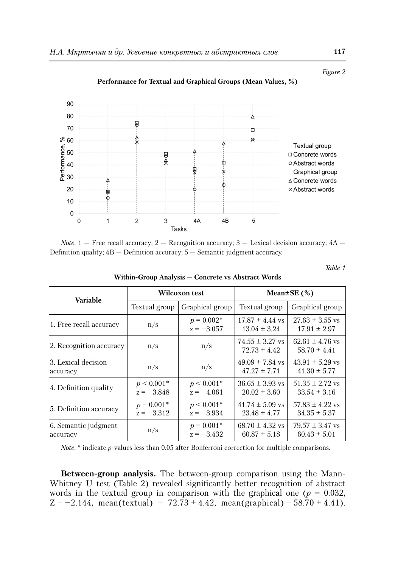

**Performance for Textual and Graphical Groups (Mean Values, %)**

*Note.*  $1 -$  Free recall accuracy;  $2 -$  Recognition accuracy;  $3 -$  Lexical decision accuracy;  $4A -$ Definition quality;  $4B -$  Definition accuracy;  $5 -$  Semantic judgment accuracy.

*Table 1*

**Within-Group Analysis — Concrete vs Abstract Words**

| <b>Variable</b>                  | Wilcoxon test                |                              | Mean $\pm$ SE (%)                       |                                         |
|----------------------------------|------------------------------|------------------------------|-----------------------------------------|-----------------------------------------|
|                                  | Textual group                | Graphical group              | Textual group                           | Graphical group                         |
| 1. Free recall accuracy          | n/s                          | $p = 0.002*$<br>$z = -3.057$ | $17.87 \pm 4.44$ vs<br>$13.04 \pm 3.24$ | $27.63 \pm 3.55$ vs<br>$17.91 \pm 2.97$ |
| 2. Recognition accuracy          | n/s                          | n/s                          | $74.55 \pm 3.27$ vs<br>$72.73 \pm 4.42$ | $62.61 \pm 4.76$ vs<br>$58.70 \pm 4.41$ |
| 3. Lexical decision<br>accuracy  | n/s                          | n/s                          | $49.09 \pm 7.84$ vs<br>$47.27 \pm 7.71$ | $43.91 \pm 5.29$ vs<br>$41.30 \pm 5.77$ |
| 4. Definition quality            | $p < 0.001*$<br>$z = -3.848$ | $p < 0.001*$<br>$z = -4.061$ | $36.65 \pm 3.93$ vs<br>$20.02 \pm 3.60$ | $51.35 \pm 2.72$ vs<br>$33.54 \pm 3.16$ |
| 5. Definition accuracy           | $p = 0.001*$<br>$z = -3.312$ | $p < 0.001*$<br>$z = -3.934$ | $41.74 \pm 5.09$ vs<br>$23.48 \pm 4.77$ | $57.83 \pm 4.22$ vs<br>$34.35 \pm 5.37$ |
| 6. Semantic judgment<br>accuracy | n/s                          | $p = 0.001*$<br>$z = -3.432$ | $68.70 \pm 4.32$ vs<br>$60.87 \pm 5.18$ | $79.57 \pm 3.47$ vs<br>$60.43 \pm 5.01$ |

*Note.* \* indicate *p*-values less than 0.05 after Bonferroni correction for multiple comparisons.

**Between-group analysis.** The between-group comparison using the Mann-Whitney U test (Table 2) revealed significantly better recognition of abstract words in the textual group in comparison with the graphical one  $(p = 0.032,$  $Z = -2.144$ , mean(textual) =  $72.73 \pm 4.42$ , mean(graphical) =  $58.70 \pm 4.41$ ).

*Figure 2*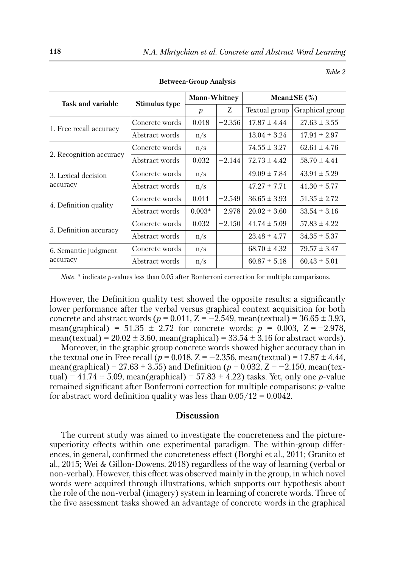| Task and variable                | Stimulus type  | <b>Mann-Whitney</b> |          | Mean $\pm$ SE (%) |                  |
|----------------------------------|----------------|---------------------|----------|-------------------|------------------|
|                                  |                | $\boldsymbol{p}$    | Z        | Textual group     | Graphical group  |
| 1. Free recall accuracy          | Concrete words | 0.018               | $-2.356$ | $17.87 \pm 4.44$  | $27.63 \pm 3.55$ |
|                                  | Abstract words | n/s                 |          | $13.04 \pm 3.24$  | $17.91 \pm 2.97$ |
| 2. Recognition accuracy          | Concrete words | n/s                 |          | $74.55 \pm 3.27$  | $62.61 \pm 4.76$ |
|                                  | Abstract words | 0.032               | $-2.144$ | $72.73 \pm 4.42$  | $58.70 \pm 4.41$ |
| l3. Lexical decision<br>accuracy | Concrete words | n/s                 |          | $49.09 \pm 7.84$  | $43.91 \pm 5.29$ |
|                                  | Abstract words | n/s                 |          | $47.27 \pm 7.71$  | $41.30 \pm 5.77$ |
| 4. Definition quality            | Concrete words | 0.011               | $-2.549$ | $36.65 \pm 3.93$  | $51.35 \pm 2.72$ |
|                                  | Abstract words | $0.003*$            | $-2.978$ | $20.02 \pm 3.60$  | $33.54 \pm 3.16$ |
| 5. Definition accuracy           | Concrete words | 0.032               | $-2.150$ | $41.74 \pm 5.09$  | $57.83 \pm 4.22$ |
|                                  | Abstract words | n/s                 |          | $23.48 \pm 4.77$  | $34.35 \pm 5.37$ |
| 6. Semantic judgment<br>accuracy | Concrete words | n/s                 |          | $68.70 \pm 4.32$  | $79.57 \pm 3.47$ |
|                                  | Abstract words | n/s                 |          | $60.87 \pm 5.18$  | $60.43 \pm 5.01$ |

**Between-Group Analysis**

*Table 2*

*Note.* \* indicate *p*-values less than 0.05 after Bonferroni correction for multiple comparisons.

However, the Definition quality test showed the opposite results: a significantly lower performance after the verbal versus graphical context acquisition for both concrete and abstract words ( $p = 0.011$ ,  $Z = -2.549$ , mean(textual) =  $36.65 \pm 3.93$ , mean(graphical) =  $51.35 \pm 2.72$  for concrete words;  $p = 0.003$ ,  $Z = -2.978$ , mean(textual) =  $20.02 \pm 3.60$ , mean(graphical) =  $33.54 \pm 3.16$  for abstract words).

Moreover, in the graphic group concrete words showed higher accuracy than in the textual one in Free recall ( $p = 0.018$ ,  $Z = -2.356$ , mean(textual) = 17.87  $\pm$  4.44, mean(graphical) =  $27.63 \pm 3.55$ ) and Definition ( $p = 0.032$ ,  $Z = -2.150$ , mean(textual) =  $41.74 \pm 5.09$ , mean(graphical) =  $57.83 \pm 4.22$ ) tasks. Yet, only one *p*-value remained significant after Bonferroni correction for multiple comparisons: *p*-value for abstract word definition quality was less than  $0.05/12 = 0.0042$ .

#### **Discussion**

The current study was aimed to investigate the concreteness and the picturesuperiority effects within one experimental paradigm. The within-group differences, in general, confirmed the concreteness effect (Borghi et al., 2011; Granito et al., 2015; Wei & Gillon-Dowens, 2018) regardless of the way of learning (verbal or non-verbal). However, this effect was observed mainly in the group, in which novel words were acquired through illustrations, which supports our hypothesis about the role of the non-verbal (imagery) system in learning of concrete words. Three of the five assessment tasks showed an advantage of concrete words in the graphical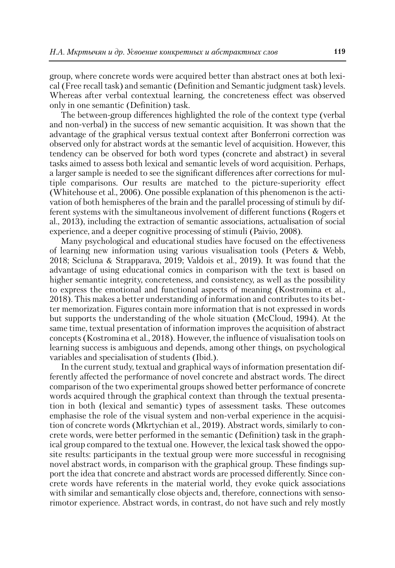group, where concrete words were acquired better than abstract ones at both lexical (Free recall task) and semantic (Definition and Semantic judgment task) levels. Whereas after verbal contextual learning, the concreteness effect was observed only in one semantic (Definition) task.

The between-group differences highlighted the role of the context type (verbal and non-verbal) in the success of new semantic acquisition. It was shown that the advantage of the graphical versus textual context after Bonferroni correction was observed only for abstract words at the semantic level of acquisition. However, this tendency can be observed for both word types (concrete and abstract) in several tasks aimed to assess both lexical and semantic levels of word acquisition. Perhaps, a larger sample is needed to see the significant differences after corrections for multiple comparisons. Our results are matched to the picture-superiority effect (Whitehouse et al., 2006). One possible explanation of this phenomenon is the activation of both hemispheres of the brain and the parallel processing of stimuli by different systems with the simultaneous involvement of different functions (Rogers et al., 2013), including the extraction of semantic associations, actualisation of social experience, and a deeper cognitive processing of stimuli (Paivio, 2008).

Many psychological and educational studies have focused on the effectiveness of learning new information using various visualisation tools (Peters & Webb, 2018; Scicluna & Strapparava, 2019; Valdois et al., 2019). It was found that the advantage of using educational comics in comparison with the text is based on higher semantic integrity, concreteness, and consistency, as well as the possibility to express the emotional and functional aspects of meaning (Kostromina et al., 2018). This makes a better understanding of information and contributes to its better memorization. Figures contain more information that is not expressed in words but supports the understanding of the whole situation (McCloud, 1994). At the same time, textual presentation of information improves the acquisition of abstract concepts (Kostromina et al., 2018). However, the influence of visualisation tools on learning success is ambiguous and depends, among other things, on psychological variables and specialisation of students (Ibid.).

In the current study, textual and graphical ways of information presentation differently affected the performance of novel concrete and abstract words. The direct comparison of the two experimental groups showed better performance of concrete words acquired through the graphical context than through the textual presentation in both (lexical and semantic) types of assessment tasks. These outcomes emphasise the role of the visual system and non-verbal experience in the acquisition of concrete words (Mkrtychian et al., 2019). Abstract words, similarly to concrete words, were better performed in the semantic (Definition) task in the graphical group compared to the textual one. However, the lexical task showed the opposite results: participants in the textual group were more successful in recognising novel abstract words, in comparison with the graphical group. These findings support the idea that concrete and abstract words are processed differently. Since concrete words have referents in the material world, they evoke quick associations with similar and semantically close objects and, therefore, connections with sensorimotor experience. Abstract words, in contrast, do not have such and rely mostly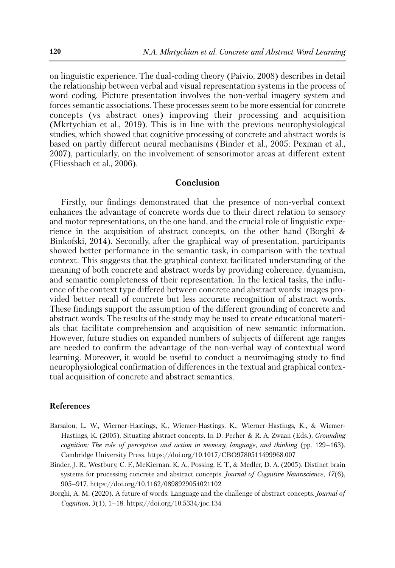on linguistic experience. The dual-coding theory (Paivio, 2008) describes in detail the relationship between verbal and visual representation systems in the process of word coding. Picture presentation involves the non-verbal imagery system and forces semantic associations. These processes seem to be more essential for concrete concepts (vs abstract ones) improving their processing and acquisition (Mkrtychian et al., 2019). This is in line with the previous neurophysiological studies, which showed that cognitive processing of concrete and abstract words is based on partly different neural mechanisms (Binder et al., 2005; Pexman et al., 2007), particularly, on the involvement of sensorimotor areas at different extent (Fliessbach et al., 2006).

#### **Conclusion**

Firstly, our findings demonstrated that the presence of non-verbal context enhances the advantage of concrete words due to their direct relation to sensory and motor representations, on the one hand, and the crucial role of linguistic experience in the acquisition of abstract concepts, on the other hand (Borghi & Binkofski, 2014). Secondly, after the graphical way of presentation, participants showed better performance in the semantic task, in comparison with the textual context. This suggests that the graphical context facilitated understanding of the meaning of both concrete and abstract words by providing coherence, dynamism, and semantic completeness of their representation. In the lexical tasks, the influence of the context type differed between concrete and abstract words: images provided better recall of concrete but less accurate recognition of abstract words. These findings support the assumption of the different grounding of concrete and abstract words. The results of the study may be used to create educational materials that facilitate comprehension and acquisition of new semantic information. However, future studies on expanded numbers of subjects of different age ranges are needed to confirm the advantage of the non-verbal way of contextual word learning. Moreover, it would be useful to conduct a neuroimaging study to find neurophysiological confirmation of differences in the textual and graphical contextual acquisition of concrete and abstract semantics.

#### **References**

- Barsalou, L. W., Wierner-Hastings, K., Wiemer-Hastings, K., Wierner-Hastings, K., & Wiemer-Hastings, K. (2005). Situating abstract concepts. In D. Pecher & R. A. Zwaan (Eds.), *Grounding cognition: The role of perception and action in memory, language, and thinking* (pp. 129–163). Cambridge University Press. https://doi.org/10.1017/CBO9780511499968.007
- Binder, J. R., Westbury, C. F., McKiernan, K. A., Possing, E. T., & Medler, D. A. (2005). Distinct brain systems for processing concrete and abstract concepts. *Journal of Cognitive Neuroscience*, *17*(6), 905–917. https://doi.org/10.1162/0898929054021102
- Borghi, A. M. (2020). A future of words: Language and the challenge of abstract concepts. *Journal of Cognition*, *3*(1), 1–18. https://doi.org/10.5334/joc.134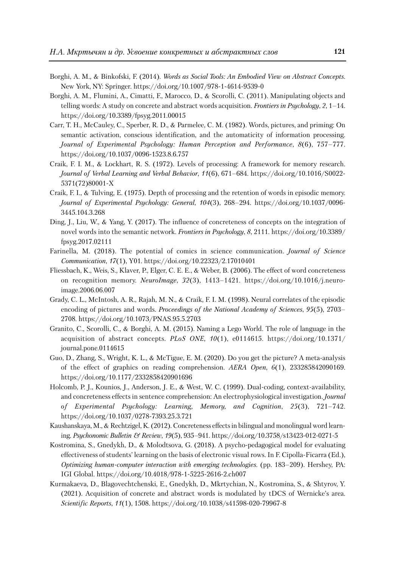- Borghi, A. M., & Binkofski, F. (2014). *Words as Social Tools: An Embodied View on Abstract Concepts*. New York, NY: Springer. https://doi.org/10.1007/978-1-4614-9539-0
- Borghi, A. M., Flumini, A., Cimatti, F., Marocco, D., & Scorolli, C. (2011). Manipulating objects and telling words: A study on concrete and abstract words acquisition. *Frontiers in Psychology*, *2*, 1–14. https://doi.org/10.3389/fpsyg.2011.00015
- Carr, T. H., McCauley, C., Sperber, R. D., & Parmelee, C. M. (1982). Words, pictures, and priming: On semantic activation, conscious identification, and the automaticity of information processing. *Journal of Experimental Psychology: Human Perception and Performance*, *8*(6), 757–777. https://doi.org/10.1037/0096-1523.8.6.757
- Craik, F. I. M., & Lockhart, R. S. (1972). Levels of processing: A framework for memory research. *Journal of Verbal Learning and Verbal Behavior*, *11*(6), 671–684. https://doi.org/10.1016/S0022- 5371(72)80001-X
- Craik, F. I., & Tulving, E. (1975). Depth of processing and the retention of words in episodic memory. *Journal of Experimental Psychology: General*, *104*(3), 268–294. https://doi.org/10.1037/0096- 3445.104.3.268
- Ding, J., Liu, W., & Yang, Y. (2017). The influence of concreteness of concepts on the integration of novel words into the semantic network. *Frontiers in Psychology*, *8*, 2111. https://doi.org/10.3389/ fpsyg.2017.02111
- Farinella, M. (2018). The potential of comics in science communication. *Journal of Science Communication*, *17*(1), Y01. https://doi.org/10.22323/2.17010401
- Fliessbach, K., Weis, S., Klaver, P., Elger, C. E. E., & Weber, B. (2006). The effect of word concreteness on recognition memory. *NeuroImage*, *32*(3), 1413–1421. https://doi.org/10.1016/j.neuro image.2006.06.007
- Grady, C. L., McIntosh, A. R., Rajah, M. N., & Craik, F. I. M. (1998). Neural correlates of the episodic encoding of pictures and words. *Proceedings of the National Academy of Sciences*, *95*(5), 2703– 2708. https://doi.org/10.1073/PNAS.95.5.2703
- Granito, C., Scorolli, C., & Borghi, A. M. (2015). Naming a Lego World. The role of language in the acquisition of abstract concepts. *PLoS ONE*, *10*(1), e0114615. https://doi.org/10.1371/ journal.pone.0114615
- Guo, D., Zhang, S., Wright, K. L., & McTigue, E. M. (2020). Do you get the picture? A meta-analysis of the effect of graphics on reading comprehension. *AERA Open*, *6*(1), 233285842090169. https://doi.org/10.1177/2332858420901696
- Holcomb, P. J., Kounios, J., Anderson, J. E., & West, W. C. (1999). Dual-coding, context-availability, and concreteness effects in sentence comprehension: An electrophysiological investigation. *Journal of Experimental Psychology: Learning, Memory, and Cognition*, *25*(3), 721–742. https://doi.org/10.1037/0278-7393.25.3.721
- Kaushanskaya, M., & Rechtzigel, K. (2012). Concreteness effects in bilingual and monolingual word learning. *Psychonomic Bulletin & Review*, *19*(5), 935–941. https://doi.org/10.3758/s13423-012-0271-5
- Kostromina, S., Gnedykh, D., & Molodtsova, G. (2018). A psycho-pedagogical model for evaluating effectiveness of students' learning on the basis of electronic visual rows. In F. Cipolla-Ficarra (Ed.), *Optimizing human-computer interaction with emerging technologies*. (pp. 183–209). Hershey, PA: IGI Global. https://doi.org/10.4018/978-1-5225-2616-2.ch007
- Kurmakaeva, D., Blagovechtchenski, E., Gnedykh, D., Mkrtychian, N., Kostromina, S., & Shtyrov, Y. (2021). Acquisition of concrete and abstract words is modulated by tDCS of Wernicke's area. *Scientific Reports*, *11*(1), 1508. https://doi.org/10.1038/s41598-020-79967-8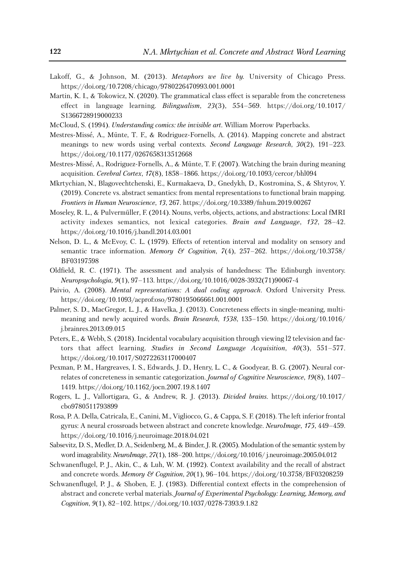- Lakoff, G., & Johnson, M. (2013). *Metaphors we live by.* University of Chicago Press. https://doi.org/10.7208/chicago/9780226470993.001.0001
- Martin, K. I., & Tokowicz, N. (2020). The grammatical class effect is separable from the concreteness effect in language learning. *Bilingualism*, *23*(3), 554–569. https://doi.org/10.1017/ S1366728919000233
- McCloud, S. (1994). *Understanding comics: the invisible art*. William Morrow Paperbacks.
- Mestres-Missé, A., Münte, T. F., & Rodriguez-Fornells, A. (2014). Mapping concrete and abstract meanings to new words using verbal contexts. *Second Language Research*, *30*(2), 191–223. https://doi.org/10.1177/0267658313512668
- Mestres-Missé, A., Rodriguez-Fornells, A., & Münte, T. F. (2007). Watching the brain during meaning acquisition. *Cerebral Cortex*, *17*(8), 1858–1866. https://doi.org/10.1093/cercor/bhl094
- Mkrtychian, N., Blagovechtchenski, E., Kurmakaeva, D., Gnedykh, D., Kostromina, S., & Shtyrov, Y. (2019). Concrete vs. abstract semantics: from mental representations to functional brain mapping. *Frontiers in Human Neuroscience*, *13*, 267. https://doi.org/10.3389/fnhum.2019.00267
- Moseley, R. L., & Pulvermüller, F. (2014). Nouns, verbs, objects, actions, and abstractions: Local fMRI activity indexes semantics, not lexical categories. *Brain and Language*, *132*, 28–42. https://doi.org/10.1016/j.bandl.2014.03.001
- Nelson, D. L., & McEvoy, C. L. (1979). Effects of retention interval and modality on sensory and semantic trace information. *Memory & Cognition*, *7*(4), 257–262. https://doi.org/10.3758/ BF03197598
- Oldfield, R. C. (1971). The assessment and analysis of handedness: The Edinburgh inventory. *Neuropsychologia, 9*(1), 97–113. https://doi.org/10.1016/0028-3932(71)90067-4
- Paivio, A. (2008). *Mental representations: A dual coding approach.* Oxford University Press. https://doi.org/10.1093/acprof:oso/9780195066661.001.0001
- Palmer, S. D., MacGregor, L. J., & Havelka, J. (2013). Concreteness effects in single-meaning, multimeaning and newly acquired words. *Brain Research*, *1538*, 135–150. https://doi.org/10.1016/ j.brainres.2013.09.015
- Peters, E., & Webb, S. (2018). Incidental vocabulary acquisition through viewing l2 television and factors that affect learning. *Studies in Second Language Acquisition*, *40*(3), 551–577. https://doi.org/10.1017/S0272263117000407
- Pexman, P. M., Hargreaves, I. S., Edwards, J. D., Henry, L. C., & Goodyear, B. G. (2007). Neural correlates of concreteness in semantic categorization. *Journal of Cognitive Neuroscience*, *19*(8), 1407– 1419. https://doi.org/10.1162/jocn.2007.19.8.1407
- Rogers, L. J., Vallortigara, G., & Andrew, R. J. (2013). *Divided brains*. https://doi.org/10.1017/ cbo9780511793899
- Rosa, P. A. Della, Catricalа, E., Canini, M., Vigliocco, G., & Cappa, S. F. (2018). The left inferior frontal gyrus: A neural crossroads between abstract and concrete knowledge. *NeuroImage*, *175*, 449–459. https://doi.org/10.1016/j.neuroimage.2018.04.021
- Sabsevitz, D. S., Medler, D. A., Seidenberg, M., & Binder, J. R. (2005). Modulation of the semantic system by word imageability. *NeuroImage*, *27*(1), 188–200. https://doi.org/10.1016/ j.neuroimage.2005.04.012
- Schwanenflugel, P. J., Akin, C., & Luh, W. M. (1992). Context availability and the recall of abstract and concrete words. *Memory & Cognition*, *20*(1), 96–104. https://doi.org/10.3758/BF03208259
- Schwanenflugel, P. J., & Shoben, E. J. (1983). Differential context effects in the comprehension of abstract and concrete verbal materials. *Journal of Experimental Psychology: Learning, Memory, and Cognition*, *9*(1), 82–102. https://doi.org/10.1037/0278-7393.9.1.82